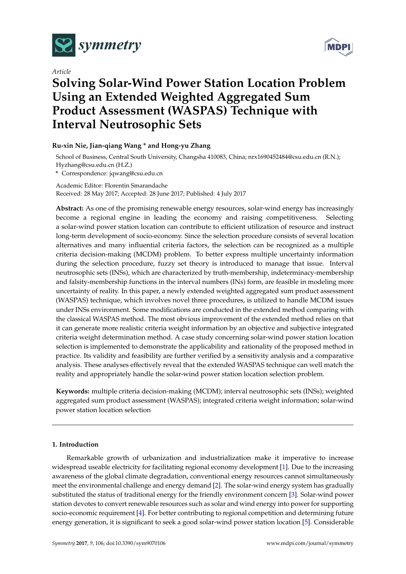

*Article*



# **Solving Solar-Wind Power Station Location Problem Using an Extended Weighted Aggregated Sum Product Assessment (WASPAS) Technique with Interval Neutrosophic Sets**

# **Ru-xin Nie, Jian-qiang Wang \* and Hong-yu Zhang**

School of Business, Central South University, Changsha 410083, China; nrx1690452484@csu.edu.cn (R.N.); Hyzhang@csu.edu.cn (H.Z.)

**\*** Correspondence: jqwang@csu.edu.cn

Academic Editor: Florentin Smarandache Received: 28 May 2017; Accepted: 28 June 2017; Published: 4 July 2017

**Abstract:** As one of the promising renewable energy resources, solar-wind energy has increasingly become a regional engine in leading the economy and raising competitiveness. Selecting a solar-wind power station location can contribute to efficient utilization of resource and instruct long-term development of socio-economy. Since the selection procedure consists of several location alternatives and many influential criteria factors, the selection can be recognized as a multiple criteria decision-making (MCDM) problem. To better express multiple uncertainty information during the selection procedure, fuzzy set theory is introduced to manage that issue. Interval neutrosophic sets (INSs), which are characterized by truth-membership, indeterminacy-membership and falsity-membership functions in the interval numbers (INs) form, are feasible in modeling more uncertainty of reality. In this paper, a newly extended weighted aggregated sum product assessment (WASPAS) technique, which involves novel three procedures, is utilized to handle MCDM issues under INSs environment. Some modifications are conducted in the extended method comparing with the classical WASPAS method. The most obvious improvement of the extended method relies on that it can generate more realistic criteria weight information by an objective and subjective integrated criteria weight determination method. A case study concerning solar-wind power station location selection is implemented to demonstrate the applicability and rationality of the proposed method in practice. Its validity and feasibility are further verified by a sensitivity analysis and a comparative analysis. These analyses effectively reveal that the extended WASPAS technique can well match the reality and appropriately handle the solar-wind power station location selection problem.

**Keywords:** multiple criteria decision-making (MCDM); interval neutrosophic sets (INSs); weighted aggregated sum product assessment (WASPAS); integrated criteria weight information; solar-wind power station location selection

# **1. Introduction**

Remarkable growth of urbanization and industrialization make it imperative to increase widespread useable electricity for facilitating regional economy development [\[1\]](#page-16-0). Due to the increasing awareness of the global climate degradation, conventional energy resources cannot simultaneously meet the environmental challenge and energy demand [\[2\]](#page-16-1). The solar-wind energy system has gradually substituted the status of traditional energy for the friendly environment concern [\[3\]](#page-16-2). Solar-wind power station devotes to convert renewable resources such as solar and wind energy into power for supporting socio-economic requirement [\[4\]](#page-16-3). For better contributing to regional competition and determining future energy generation, it is significant to seek a good solar-wind power station location [\[5\]](#page-16-4). Considerable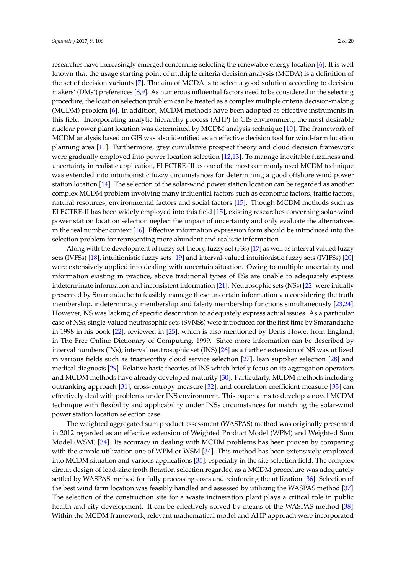researches have increasingly emerged concerning selecting the renewable energy location [\[6\]](#page-16-5). It is well known that the usage starting point of multiple criteria decision analysis (MCDA) is a definition of the set of decision variants [\[7\]](#page-16-6). The aim of MCDA is to select a good solution according to decision makers' (DMs') preferences [\[8,](#page-16-7)[9\]](#page-16-8). As numerous influential factors need to be considered in the selecting procedure, the location selection problem can be treated as a complex multiple criteria decision-making (MCDM) problem [\[6\]](#page-16-5). In addition, MCDM methods have been adopted as effective instruments in this field. Incorporating analytic hierarchy process (AHP) to GIS environment, the most desirable nuclear power plant location was determined by MCDM analysis technique [\[10\]](#page-16-9). The framework of MCDM analysis based on GIS was also identified as an effective decision tool for wind-farm location planning area [\[11\]](#page-16-10). Furthermore, grey cumulative prospect theory and cloud decision framework were gradually employed into power location selection [\[12](#page-16-11)[,13\]](#page-16-12). To manage inevitable fuzziness and uncertainty in realistic application, ELECTRE-III as one of the most commonly used MCDM technique was extended into intuitionistic fuzzy circumstances for determining a good offshore wind power station location [\[14\]](#page-16-13). The selection of the solar-wind power station location can be regarded as another complex MCDM problem involving many influential factors such as economic factors, traffic factors, natural resources, environmental factors and social factors [\[15\]](#page-16-14). Though MCDM methods such as ELECTRE-II has been widely employed into this field [\[15\]](#page-16-14), existing researches concerning solar-wind power station location selection neglect the impact of uncertainty and only evaluate the alternatives in the real number context [\[16\]](#page-16-15). Effective information expression form should be introduced into the selection problem for representing more abundant and realistic information.

Along with the development of fuzzy set theory, fuzzy set (FSs) [\[17\]](#page-16-16) as well as interval valued fuzzy sets (IVFSs) [\[18\]](#page-16-17), intuitionistic fuzzy sets [\[19\]](#page-16-18) and interval-valued intuitionistic fuzzy sets (IVIFSs) [\[20\]](#page-17-0) were extensively applied into dealing with uncertain situation. Owing to multiple uncertainty and information existing in practice, above traditional types of FSs are unable to adequately express indeterminate information and inconsistent information [\[21\]](#page-17-1). Neutrosophic sets (NSs) [\[22\]](#page-17-2) were initially presented by Smarandache to feasibly manage these uncertain information via considering the truth membership, indeterminacy membership and falsity membership functions simultaneously [\[23](#page-17-3)[,24\]](#page-17-4). However, NS was lacking of specific description to adequately express actual issues. As a particular case of NSs, single-valued neutrosophic sets (SVNSs) were introduced for the first time by Smarandache in 1998 in his book [\[22\]](#page-17-2), reviewed in [\[25\]](#page-17-5), which is also mentioned by Denis Howe, from England, in The Free Online Dictionary of Computing, 1999. Since more information can be described by interval numbers (INs), interval neutrosophic set (INS) [\[26\]](#page-17-6) as a further extension of NS was utilized in various fields such as trustworthy cloud service selection [\[27\]](#page-17-7), lean supplier selection [\[28\]](#page-17-8) and medical diagnosis [\[29\]](#page-17-9). Relative basic theories of INS which briefly focus on its aggregation operators and MCDM methods have already developed maturity [\[30\]](#page-17-10). Particularly, MCDM methods including outranking approach [\[31\]](#page-17-11), cross-entropy measure [\[32\]](#page-17-12), and correlation coefficient measure [\[33\]](#page-17-13) can effectively deal with problems under INS environment. This paper aims to develop a novel MCDM technique with flexibility and applicability under INSs circumstances for matching the solar-wind power station location selection case.

The weighted aggregated sum product assessment (WASPAS) method was originally presented in 2012 regarded as an effective extension of Weighted Product Model (WPM) and Weighted Sum Model (WSM) [\[34\]](#page-17-14). Its accuracy in dealing with MCDM problems has been proven by comparing with the simple utilization one of WPM or WSM [\[34\]](#page-17-14). This method has been extensively employed into MCDM situation and various applications [\[35\]](#page-17-15), especially in the site selection field. The complex circuit design of lead-zinc froth flotation selection regarded as a MCDM procedure was adequately settled by WASPAS method for fully processing costs and reinforcing the utilization [\[36\]](#page-17-16). Selection of the best wind farm location was feasibly handled and assessed by utilizing the WASPAS method [\[37\]](#page-17-17). The selection of the construction site for a waste incineration plant plays a critical role in public health and city development. It can be effectively solved by means of the WASPAS method [\[38\]](#page-17-18). Within the MCDM framework, relevant mathematical model and AHP approach were incorporated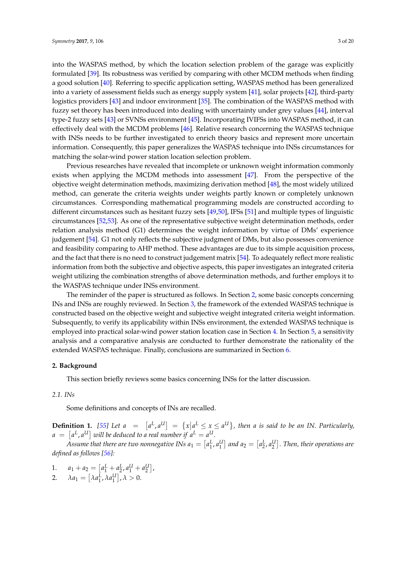into the WASPAS method, by which the location selection problem of the garage was explicitly formulated [\[39\]](#page-17-19). Its robustness was verified by comparing with other MCDM methods when finding a good solution [\[40\]](#page-17-20). Referring to specific application setting, WASPAS method has been generalized into a variety of assessment fields such as energy supply system [\[41\]](#page-17-21), solar projects [\[42\]](#page-17-22), third-party logistics providers [\[43\]](#page-18-0) and indoor environment [\[35\]](#page-17-15). The combination of the WASPAS method with fuzzy set theory has been introduced into dealing with uncertainty under grey values [\[44\]](#page-18-1), interval type-2 fuzzy sets [\[43\]](#page-18-0) or SVNSs environment [\[45\]](#page-18-2). Incorporating IVIFSs into WASPAS method, it can effectively deal with the MCDM problems [\[46\]](#page-18-3). Relative research concerning the WASPAS technique with INSs needs to be further investigated to enrich theory basics and represent more uncertain information. Consequently, this paper generalizes the WASPAS technique into INSs circumstances for matching the solar-wind power station location selection problem.

Previous researches have revealed that incomplete or unknown weight information commonly exists when applying the MCDM methods into assessment [\[47\]](#page-18-4). From the perspective of the objective weight determination methods, maximizing derivation method [\[48\]](#page-18-5), the most widely utilized method, can generate the criteria weights under weights partly known or completely unknown circumstances. Corresponding mathematical programming models are constructed according to different circumstances such as hesitant fuzzy sets [\[49,](#page-18-6)[50\]](#page-18-7), IFSs [\[51\]](#page-18-8) and multiple types of linguistic circumstances [\[52](#page-18-9)[,53\]](#page-18-10). As one of the representative subjective weight determination methods, order relation analysis method (G1) determines the weight information by virtue of DMs' experience judgement [\[54\]](#page-18-11). G1 not only reflects the subjective judgment of DMs, but also possesses convenience and feasibility comparing to AHP method. These advantages are due to its simple acquisition process, and the fact that there is no need to construct judgement matrix [\[54\]](#page-18-11). To adequately reflect more realistic information from both the subjective and objective aspects, this paper investigates an integrated criteria weight utilizing the combination strengths of above determination methods, and further employs it to the WASPAS technique under INSs environment.

The reminder of the paper is structured as follows. In Section [2,](#page-2-0) some basic concepts concerning INs and INSs are roughly reviewed. In Section [3,](#page-5-0) the framework of the extended WASPAS technique is constructed based on the objective weight and subjective weight integrated criteria weight information. Subsequently, to verify its applicability within INSs environment, the extended WASPAS technique is employed into practical solar-wind power station location case in Section [4.](#page-10-0) In Section [5,](#page-13-0) a sensitivity analysis and a comparative analysis are conducted to further demonstrate the rationality of the extended WASPAS technique. Finally, conclusions are summarized in Section [6.](#page-15-0)

#### <span id="page-2-0"></span>**2. Background**

This section briefly reviews some basics concerning INSs for the latter discussion.

# *2.1. INs*

Some definitions and concepts of INs are recalled.

**Definition 1.** [\[55\]](#page-18-12) Let  $a = [a^L, a^U] = \{x | a^L \le x \le a^U\}$ , then a is said to be an IN. Particularly,  $a \ = \ \lceil a^L, a^U \rceil$  will be deduced to a real number if  $a^L = a^U.$ 

Assume that there are two nonnegative INs  $a_1 = [a_1^L, a_1^U]$  and  $a_2 = [a_2^L, a_2^U]$ . Then, their operations are *defined as follows [\[56\]](#page-18-13):*

- 1.  $a_1 + a_2 = \left[a_1^L + a_2^L, a_1^U + a_2^U\right],$
- 2.  $\lambda a_1 = \left[ \lambda a_1^L, \lambda a_1^U \right], \lambda > 0.$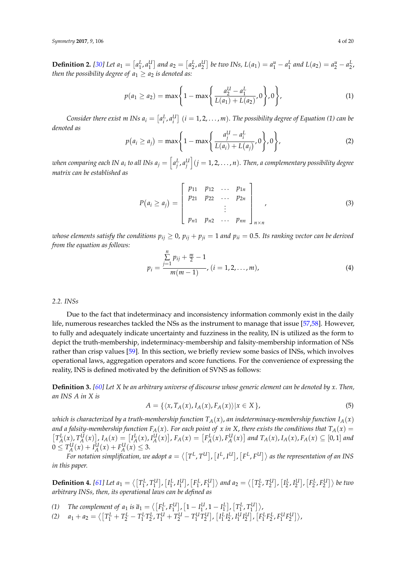**Definition 2.** [\[30\]](#page-17-10) Let  $a_1 = [a_1^L, a_1^U]$  and  $a_2 = [a_2^L, a_2^U]$  be two INs,  $L(a_1) = a_1^u - a_1^L$  and  $L(a_2) = a_2^u - a_2^L$ . *then the possibility degree of*  $a_1 \geq a_2$  *is denoted as:* 

$$
p(a_1 \ge a_2) = \max\left\{1 - \max\left\{\frac{a_2^U - a_1^L}{L(a_1) + L(a_2)}, 0\right\}, 0\right\},\tag{1}
$$

Consider there exist  $m$  INs  $a_i = [a_i^L, a_i^U]$   $(i = 1, 2, ..., m)$ . The possibility degree of Equation (1) can be *denoted as*

$$
p(a_i \ge a_j) = \max\left\{1 - \max\left\{\frac{a_j^U - a_i^L}{L(a_i) + L(a_j)}, 0\right\}, 0\right\},
$$
 (2)

when comparing each IN  $a_i$  to all INs  $a_j=\left[a_j^L,a_j^U\right](j=1,2,\ldots,n).$  Then, a complementary possibility degree *matrix can be established as*

$$
P(a_i \ge a_j) = \begin{bmatrix} p_{11} & p_{12} & \dots & p_{1n} \\ p_{21} & p_{22} & \dots & p_{2n} \\ \vdots & & \vdots & \\ p_{n1} & p_{n2} & \dots & p_{nn} \end{bmatrix},
$$
 (3)

*whose elements satisfy the conditions*  $p_{ii} \ge 0$ ,  $p_{ii} + p_{ii} = 1$  *and*  $p_{ii} = 0.5$ . Its ranking vector can be derived *from the equation as follows:*

$$
p_i = \frac{\sum\limits_{j=1}^{n} p_{ij} + \frac{m}{2} - 1}{m(m-1)}, (i = 1, 2, ..., m),
$$
 (4)

# *2.2. INSs*

Due to the fact that indeterminacy and inconsistency information commonly exist in the daily life, numerous researches tackled the NSs as the instrument to manage that issue [\[57](#page-18-14)[,58\]](#page-18-15). However, to fully and adequately indicate uncertainty and fuzziness in the reality, IN is utilized as the form to depict the truth-membership, indeterminacy-membership and falsity-membership information of NSs rather than crisp values [\[59\]](#page-18-16). In this section, we briefly review some basics of INSs, which involves operational laws, aggregation operators and score functions. For the convenience of expressing the reality, INS is defined motivated by the definition of SVNS as follows:

**Definition 3.** *[\[60\]](#page-18-17) Let X be an arbitrary universe of discourse whose generic element can be denoted by x*. *Then, an INS A in X is*

$$
A = \{ \langle x, T_A(x), I_A(x), F_A(x) \rangle | x \in X \},\tag{5}
$$

*which is characterized by a truth-membership function*  $T_A(x)$ , *an indeterminacy-membership function*  $I_A(x)$ *and a falsity-membership function FA*(*x*). *For each point of x in X*, *there exists the conditions that TA*(*x*) =  $[T_A^L(x), T_A^U(x)]$ ,  $I_A(x) = [I_A^L(x), I_A^U(x)]$ ,  $F_A(x) = [F_A^L(x), F_A^U(x)]$  and  $T_A(x)$ ,  $I_A(x)$ ,  $F_A(x) \subseteq [0,1]$  and  $0 \leq T_A^U(x) + I_A^U(x) + F_A^U(x) \leq 3.$ 

For notation simplification, we adopt  $a = \langle [T^L, T^U], [I^L, I^U], [F^L, F^U] \rangle$  as the representation of an INS *in this paper.*

**Definition 4.** [\[61\]](#page-18-18) Let  $a_1 = \langle [T_1^L, T_1^U], [I_1^L, I_1^U], [F_1^L, F_1^U] \rangle$  and  $a_2 = \langle [T_2^L, T_2^U], [I_2^L, I_2^U], [F_2^L, F_2^U] \rangle$  be two *arbitrary INSs, then, its operational laws can be defined as*

- $(1)$  *The complement of a*<sub>1</sub> *is*  $\bar{a}_1 = \langle [F_1^L, F_1^U], [1 I_1^U, 1 I_1^L], [T_1^L, T_1^U] \rangle$
- (2)  $a_1 + a_2 = \langle \left[T_1^L + T_2^L T_1^L T_2^L, T_1^U + T_2^U T_1^U T_2^U\right], \left[I_1^L I_2^L, I_1^U I_2^U\right], \left[F_1^L F_2^L, F_1^U F_2^U\right] \rangle$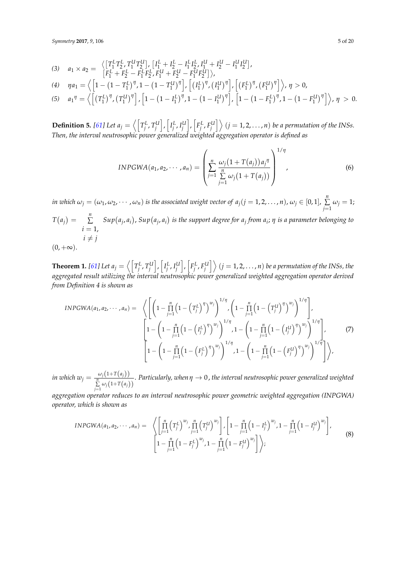(3) 
$$
a_1 \times a_2 = \left\langle \left[ T_1^L T_2^L, T_1^U T_2^U \right], \left[ I_1^L + I_2^L - I_1^L I_2^L, I_1^U + I_2^U - I_1^U I_2^U \right], \right.\
$$
  
\n(4)  $\eta a_1 = \left\langle \left[ 1 - \left( 1 - T_1^L \right)^{\eta}, 1 - \left( 1 - T_1^U \right)^{\eta} \right], \left[ \left( I_1^L \right)^{\eta}, \left( I_1^U \right)^{\eta} \right], \left[ \left( F_1^L \right)^{\eta}, \left( F_1^U \right)^{\eta} \right] \right\rangle, \eta > 0,$ 

(5) 
$$
a_1^{\eta} = \left\langle \left[ (T_1^L)^{\eta}, (T_1^U)^{\eta} \right], \left[ 1 - (1 - I_1^L)^{\eta}, 1 - (1 - I_1^U)^{\eta} \right], \left[ 1 - (1 - F_1^L)^{\eta}, 1 - (1 - F_1^L)^{\eta} \right], \eta > 0.
$$

**Definition 5.** [\[61\]](#page-18-18) Let  $a_j = \left\langle \begin{bmatrix} T_j^L, T_j^U \end{bmatrix}, \begin{bmatrix} I_j^L, I_j^U \end{bmatrix}, \begin{bmatrix} F_j^L, F_j^U \end{bmatrix} \right\rangle$   $(j = 1, 2, ..., n)$  be a permutation of the INSs. *Then, the interval neutrosophic power generalized weighted aggregation operator is defined as*

$$
INPGWA(a_1, a_2, \cdots, a_n) = \left(\sum_{j=1}^n \frac{\omega_j(1+T(a_j))a_j^{\eta}}{\sum_{j=1}^n \omega_j(1+T(a_j))}\right)^{1/\eta},
$$
\n(6)

*in which*  $\omega_j=(\omega_1,\omega_2,\cdots,\omega_n)$  *is the associated weight vector of*  $a_j (j=1,2,\ldots,n)$ *,*  $\omega_j\in [0,1]$ *,*  $\sum\limits_{}^n$  $\sum_{j=1} \omega_j = 1;$  $T(a_j) = \sum_{i=1}^{n}$  $i = 1$ ,  $i \neq j$  $Sup(a_j, a_i)$ ,  $Sup(a_j, a_i)$  *is the support degree for*  $a_j$  *from*  $a_i$ *;*  $\eta$  *<i>is a parameter belonging to*  $(0, +\infty).$ 

**Theorem 1.** [\[61\]](#page-18-18) Let  $a_j = \left\langle \left[T_j^L,T_j^U\right],\left[I_j^L,I_j^U\right],\left[F_j^L,F_j^U\right]\right\rangle$   $(j=1,2,\ldots,n)$  be a permutation of the INSs, the *aggregated result utilizing the interval neutrosophic power generalized weighted aggregation operator derived from Definition 4 is shown as*

$$
INPGWA(a_1, a_2, \cdots, a_n) = \left\langle \left[ \left( 1 - \prod_{j=1}^n \left( 1 - \left( T_j^L \right)^{\eta} \right)^{w_j} \right)^{1/\eta}, \left( 1 - \prod_{j=1}^n \left( 1 - \left( T_j^U \right)^{\eta} \right)^{w_j} \right)^{1/\eta} \right],
$$
\n
$$
\left[ 1 - \left( 1 - \prod_{j=1}^n \left( 1 - \left( I_j^L \right)^{\eta} \right)^{w_j} \right)^{1/\eta}, 1 - \left( 1 - \prod_{j=1}^n \left( 1 - \left( I_j^U \right)^{\eta} \right)^{w_j} \right)^{1/\eta} \right],
$$
\n
$$
\left[ 1 - \left( 1 - \prod_{j=1}^n \left( 1 - \left( F_j^L \right)^{\eta} \right)^{w_j} \right)^{1/\eta}, 1 - \left( 1 - \prod_{j=1}^n \left( 1 - \left( F_j^U \right)^{\eta} \right)^{w_j} \right)^{1/\eta} \right] \right\rangle,
$$
\n
$$
(7)
$$

*in which*  $w_j = \frac{\omega_j(1+T(a_j))}{\sum\limits_{j=1}^n \omega_j(1+T(a_j))}$ . *Particularly, whenη* → 0, *the interval neutrosophic power generalized weighted*

*aggregation operator reduces to an interval neutrosophic power geometric weighted aggregation (INPGWA) operator, which is shown as*

$$
INPGWA(a_1, a_2, \cdots, a_n) = \left\langle \left[ \prod_{j=1}^n \left( T_j^L \right)^{w_j}, \prod_{j=1}^n \left( T_j^U \right)^{w_j} \right], \left[ 1 - \prod_{j=1}^n \left( 1 - I_j^L \right)^{w_j}, 1 - \prod_{j=1}^n \left( 1 - I_j^U \right)^{w_j} \right], \left[ 1 - \prod_{j=1}^n \left( 1 - F_j^U \right)^{w_j}, 1 - \prod_{j=1}^n \left( 1 - F_j^U \right)^{w_j} \right] \right\rangle,
$$
\n(8)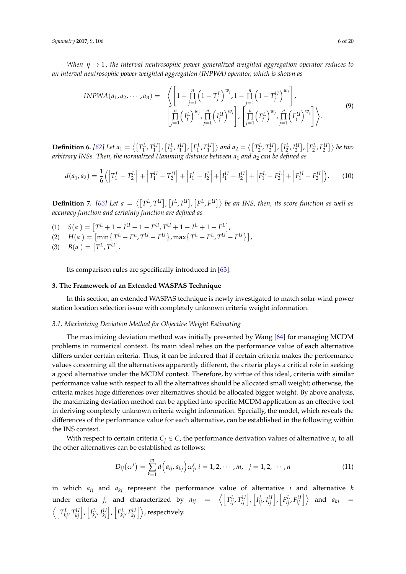*When η* → 1, *the interval neutrosophic power generalized weighted aggregation operator reduces to an interval neutrosophic power weighted aggregation (INPWA) operator, which is shown as*

$$
INPWA(a_1, a_2, \cdots, a_n) = \left\langle \left[ 1 - \prod_{j=1}^n \left( 1 - T_j^L \right)^{w_j}, 1 - \prod_{j=1}^n \left( 1 - T_j^U \right)^{w_j} \right], \left[ \prod_{j=1}^n \left( F_j^L \right)^{w_j}, \prod_{j=1}^n \left( F_j^L \right)^{w_j}, \prod_{j=1}^n \left( F_j^L \right)^{w_j}, \prod_{j=1}^n \left( F_j^U \right)^{w_j} \right] \right\rangle.
$$
\n(9)

**Definition 6.** [\[62\]](#page-18-19) Let  $a_1 = \langle [T_1^L, T_1^U], [I_1^L, I_1^U], [F_1^L, F_1^U] \rangle$  and  $a_2 = \langle [T_2^L, T_2^U], [I_2^L, I_2^U], [F_2^L, F_2^U] \rangle$  be two *arbitrary INSs. Then, the normalized Hamming distance between a*<sup>1</sup> *and a*<sup>2</sup> *can be defined as*

$$
d(a_1, a_2) = \frac{1}{6} (|T_1^L - T_2^L| + |T_1^U - T_2^U| + |I_1^L - I_2^L| + |I_1^U - I_2^U| + |F_1^L - F_2^L| + |F_1^U - F_2^U|).
$$
 (10)

**Definition 7.** [\[63\]](#page-18-20) Let  $a = \langle [T^L, T^U], [I^L, I^U], [F^L, F^U] \rangle$  be an INS, then, its score function as well as *accuracy function and certainty function are defined as*

- $(1)$   $S(a) = [T^L + 1 I^U + 1 F^U, T^U + 1 I^L + 1 F^L],$
- $H(a) = \left[ \min \{ T^L F^L, T^U F^U \}, \max \{ T^L F^L, T^U F^U \} \right],$
- (3)  $B(a) = [T^L, T^U].$

Its comparison rules are specifically introduced in [\[63\]](#page-18-20).

# <span id="page-5-0"></span>**3. The Framework of an Extended WASPAS Technique**

In this section, an extended WASPAS technique is newly investigated to match solar-wind power station location selection issue with completely unknown criteria weight information.

# *3.1. Maximizing Deviation Method for Objective Weight Estimating*

The maximizing deviation method was initially presented by Wang [\[64\]](#page-18-21) for managing MCDM problems in numerical context. Its main ideal relies on the performance value of each alternative differs under certain criteria. Thus, it can be inferred that if certain criteria makes the performance values concerning all the alternatives apparently different, the criteria plays a critical role in seeking a good alternative under the MCDM context. Therefore, by virtue of this ideal, criteria with similar performance value with respect to all the alternatives should be allocated small weight; otherwise, the criteria makes huge differences over alternatives should be allocated bigger weight. By above analysis, the maximizing deviation method can be applied into specific MCDM application as an effective tool in deriving completely unknown criteria weight information. Specially, the model, which reveals the differences of the performance value for each alternative, can be established in the following within the INS context.

With respect to certain criteria  $C_j \in \mathcal{C}$ , the performance derivation values of alternative  $x_i$  to all the other alternatives can be established as follows:

$$
D_{ij}(\omega') = \sum_{k=1}^{m} d(a_{ij}, a_{kj}) \omega'_{j}, i = 1, 2, \cdots, m, \ \ j = 1, 2, \cdots, n
$$
 (11)

in which *aij* and *akj* represent the performance value of alternative *i* and alternative *k* under criteria *j*, and characterized by  $a_{ij} = \left\langle \begin{bmatrix} T_{ij}^L, T_{ij}^U \end{bmatrix}, \begin{bmatrix} I_{ij}^L, I_{ij}^U \end{bmatrix}, \begin{bmatrix} F_{ij}^L, F_{ij}^U \end{bmatrix} \right\rangle$  and  $a_{kj} =$  $\left\langle \left\lceil T_{kj}^L, T_{kj}^U \right\rceil, \left\lceil I_{kj}^L, I_{kj}^U \right\rceil, \left\lceil F_{kj}^L, F_{kj}^U \right\rceil \right\rangle$  , respectively.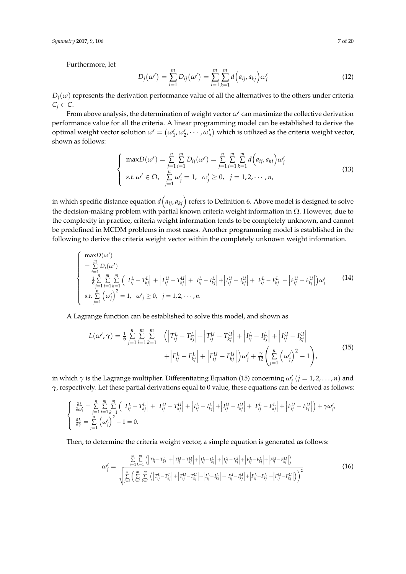Furthermore, let

$$
D_j(\omega') = \sum_{i=1}^m D_{ij}(\omega') = \sum_{i=1}^m \sum_{k=1}^m d\left(a_{ij}, a_{kj}\right) \omega'_j \tag{12}
$$

 $D_i(\omega)$  represents the derivation performance value of all the alternatives to the others under criteria  $C_j \in \mathcal{C}$ .

From above analysis, the determination of weight vector  $\omega'$  can maximize the collective derivation performance value for all the criteria. A linear programming model can be established to derive the optimal weight vector solution  $\omega' = (\omega'_1, \omega'_2, \cdots, \omega'_n)$  which is utilized as the criteria weight vector, shown as follows:

$$
\begin{cases}\n\max D(\omega') = \sum_{j=1}^{n} \sum_{i=1}^{m} D_{ij}(\omega') = \sum_{j=1}^{n} \sum_{i=1}^{m} \sum_{k=1}^{m} d(a_{ij}, a_{kj}) \omega'_{j} \\
s.t. \omega' \in \Omega, \sum_{j=1}^{n} \omega'_{j} = 1, \ \omega'_{j} \ge 0, \ \ j = 1, 2, \cdots, n,\n\end{cases}
$$
\n(13)

in which specific distance equation  $d\left(a_{ij},a_{kj}\right)$  refers to Definition 6. Above model is designed to solve the decision-making problem with partial known criteria weight information in  $Ω$ . However, due to the complexity in practice, criteria weight information tends to be completely unknown, and cannot be predefined in MCDM problems in most cases. Another programming model is established in the following to derive the criteria weight vector within the completely unknown weight information.

$$
\begin{cases}\n\max_{i=1}^{m} D_i(\omega') \\
= \sum_{i=1}^{m} D_i(\omega') \\
= \frac{1}{6} \sum_{j=1}^{n} \sum_{k=1}^{m} \left( \left| T_{ij}^L - T_{kj}^L \right| + \left| T_{ij}^U - T_{kj}^U \right| + \left| I_{ij}^L - I_{kj}^L \right| + \left| I_{ij}^U - I_{kj}^U \right| + \left| F_{ij}^L - F_{kj}^L \right| + \left| F_{ij}^U - F_{kj}^U \right| \right) \omega'_j \\
\text{s.t.} \sum_{j=1}^{n} \left( \omega'_j \right)^2 = 1, \quad \omega'_j \ge 0, \quad j = 1, 2, \cdots, n.\n\end{cases}
$$
\n(14)

A Lagrange function can be established to solve this model, and shown as

$$
L(\omega', \gamma) = \frac{1}{6} \sum_{j=1}^{n} \sum_{i=1}^{m} \sum_{k=1}^{m} \left( \left| T_{ij}^{L} - T_{kj}^{L} \right| + \left| T_{ij}^{U} - T_{kj}^{U} \right| + \left| I_{ij}^{L} - I_{kj}^{L} \right| + \left| I_{ij}^{U} - I_{kj}^{U} \right| \right) + \left| F_{ij}^{L} - F_{kj}^{L} \right| + \left| F_{ij}^{U} - F_{kj}^{U} \right| \right) \omega'_{j} + \frac{\gamma}{12} \left( \sum_{j=1}^{n} \left( \omega'_{j} \right)^{2} - 1 \right), \tag{15}
$$

in which  $\gamma$  is the Lagrange multiplier. Differentiating Equation (15) concerning  $\omega'_j$   $(j = 1, 2, ..., n)$  and *γ*, respectively. Let these partial derivations equal to 0 value, these equations can be derived as follows:

$$
\begin{cases} \n\frac{\partial L}{\partial \omega'_j} = \sum_{j=1}^n \sum_{i=1}^m \sum_{k=1}^m \left( \left| T_{ij}^L - T_{kj}^L \right| + \left| T_{ij}^U - T_{kj}^U \right| + \left| I_{ij}^L - I_{kj}^L \right| + \left| I_{ij}^U - I_{kj}^U \right| + \left| F_{ij}^L - F_{kj}^L \right| + \left| F_{ij}^U - F_{kj}^U \right| \right) + \gamma \omega'_{j'} \\
\frac{\partial L}{\partial \gamma} = \sum_{j=1}^n \left( \omega'_j \right)^2 - 1 = 0. \n\end{cases}
$$

Then, to determine the criteria weight vector, a simple equation is generated as follows:

$$
\omega'_{j} = \frac{\sum_{i=1}^{m} \sum_{k=1}^{m} (|T_{ij}^{L} - T_{kj}^{L}| + |T_{ij}^{U} - T_{kj}^{U}| + |I_{ij}^{L} - I_{kj}^{L}| + |T_{ij}^{U} - I_{kj}^{U}| + |F_{ij}^{L} - F_{kj}^{L}| + |F_{ij}^{L} - F_{kj}^{L}|)}{\sqrt{\sum_{j=1}^{n} \left(\sum_{i=1}^{m} \sum_{k=1}^{m} (|T_{ij}^{L} - T_{kj}^{L}| + |T_{ij}^{U} - T_{kj}^{U}| + |I_{ij}^{L} - I_{kj}^{L}| + |I_{ij}^{L} - I_{kj}^{L}| + |F_{ij}^{L} - F_{kj}^{L}| + |F_{ij}^{L} - F_{kj}^{L}|}\right)^{2}}
$$
(16)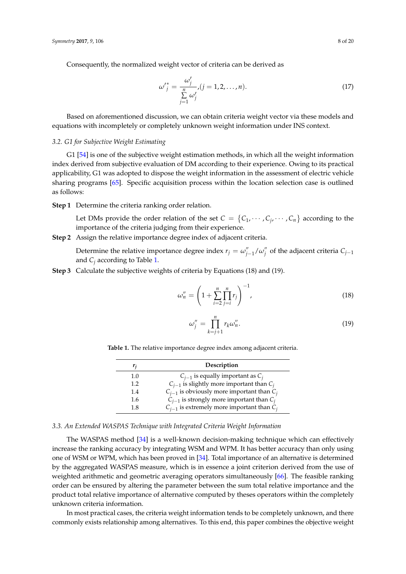Consequently, the normalized weight vector of criteria can be derived as

$$
\omega'_{j}^{*} = \frac{\omega'_{j}}{\sum\limits_{j=1}^{n} \omega'_{j}} , (j = 1, 2, ..., n).
$$
 (17)

Based on aforementioned discussion, we can obtain criteria weight vector via these models and equations with incompletely or completely unknown weight information under INS context.

# <span id="page-7-1"></span>*3.2. G1 for Subjective Weight Estimating*

G1 [\[54\]](#page-18-11) is one of the subjective weight estimation methods, in which all the weight information index derived from subjective evaluation of DM according to their experience. Owing to its practical applicability, G1 was adopted to dispose the weight information in the assessment of electric vehicle sharing programs [\[65\]](#page-18-22). Specific acquisition process within the location selection case is outlined as follows:

**Step 1** Determine the criteria ranking order relation.

Let DMs provide the order relation of the set  $C = \{C_1, \dots, C_j, \dots, C_n\}$  according to the importance of the criteria judging from their experience.

**Step 2** Assign the relative importance degree index of adjacent criteria.

Determine the relative importance degree index  $r_j = \omega_{j-1}^{"}/\omega_j^{'}$ *j* of the adjacent criteria *Cj*−<sup>1</sup> and  $C_i$  according to Table [1.](#page-7-0)

**Step 3** Calculate the subjective weights of criteria by Equations (18) and (19).

$$
\omega_n'' = \left(1 + \sum_{i=2}^n \prod_{j=i}^n r_j\right)^{-1},\tag{18}
$$

$$
\omega_j'' = \prod_{k=j+1}^n r_k \omega_n''.
$$
\n(19)

<span id="page-7-0"></span>**Table 1.** The relative importance degree index among adjacent criteria.

| r,  | Description                                      |
|-----|--------------------------------------------------|
| 1.0 | $C_{i-1}$ is equally important as $C_i$          |
| 1.2 | $C_{i-1}$ is slightly more important than $C_i$  |
| 1.4 | $C_{i-1}$ is obviously more important than $C_i$ |
| 1.6 | $C_{i-1}$ is strongly more important than $C_i$  |
| 1.8 | $C_{i-1}$ is extremely more important than $C_i$ |

# *3.3. An Extended WASPAS Technique with Integrated Criteria Weight Information*

The WASPAS method [\[34\]](#page-17-14) is a well-known decision-making technique which can effectively increase the ranking accuracy by integrating WSM and WPM. It has better accuracy than only using one of WSM or WPM, which has been proved in [\[34\]](#page-17-14). Total importance of an alternative is determined by the aggregated WASPAS measure, which is in essence a joint criterion derived from the use of weighted arithmetic and geometric averaging operators simultaneously [\[66\]](#page-18-23). The feasible ranking order can be ensured by altering the parameter between the sum total relative importance and the product total relative importance of alternative computed by theses operators within the completely unknown criteria information.

In most practical cases, the criteria weight information tends to be completely unknown, and there commonly exists relationship among alternatives. To this end, this paper combines the objective weight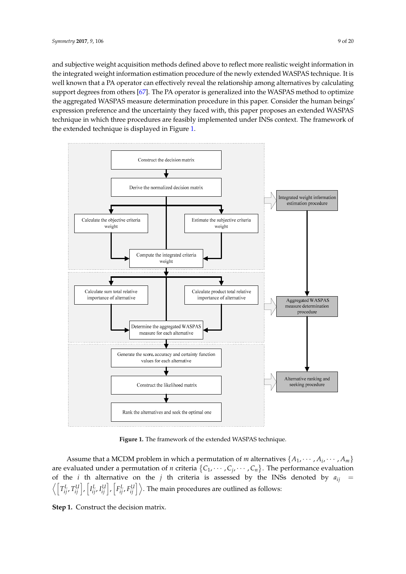and subjective weight acquisition methods defined above to reflect more realistic weight information in the integrated weight information estimation procedure of the newly extended WASPAS technique. It is well known that a PA operator can effectively reveal the relationship among alternatives by calculating support degrees from others [\[67\]](#page-19-0). The PA operator is generalized into the WASPAS method to optimize the aggregated WASPAS measure determination procedure in this paper. Consider the human beings' expression preference and the uncertainty they faced with, this paper proposes an extended WASPAS technique in which three procedures are feasibly implemented under INSs context. The framework of the extended technique is displayed in Figure [1.](#page-8-0)

<span id="page-8-0"></span>

**Figure 1.** The framework of the extended WASPAS technique. **Figure 1.** The framework of the extended WASPAS technique.

Assume that a MCDM problem in which a permutation of *m* alternatives  $\{A_1, \dots, A_i, \dots, A_m\}$ are evaluated under a permutation of *n* criteria  $\{C_1, \dots, C_j, \dots, C_n\}$ . The performance evaluation  $T^{[i]}$  include  $\begin{bmatrix} \tau^{[i]} & \tau^{[i]} \end{bmatrix}$  concern of the regional competition and competition and competition,  $\begin{bmatrix} \tau^{[i]} & \tau^{[i]} \end{bmatrix}$  $\left\langle \left[T^L_{ij},T^U_{ij}\right],\left[I^L_{ij},I^U_{ij}\right],\left[F^L_{ij},F^U_{ij}\right]\right\rangle$ . The main procedures are outlined as follows: of the *i* th alternative on the *j* th criteria is assessed by the INSs denoted by  $a_{ij}$  =  $\sqrt{|T|}$ *L ij* , *T U ij* i , h *I L ij*, *I U*  $\left[F_{ij}^L, F_{ij}^U\right]$ 

**Step 1.** Construct the decision matrix. power station for better serving regional socio-economy, a good station construction location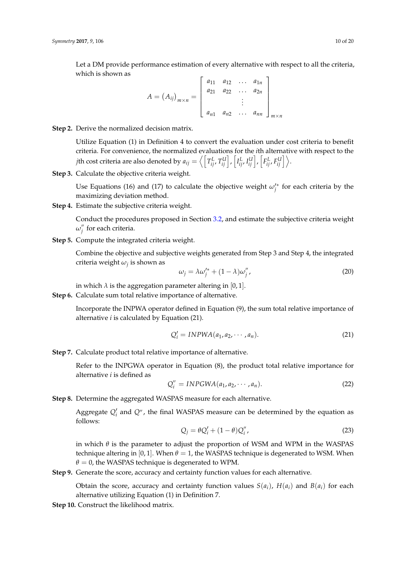Let a DM provide performance estimation of every alternative with respect to all the criteria, which is shown as h  $\overline{\mathbf{u}}$ 

$$
A = (A_{ij})_{m \times n} = \begin{bmatrix} a_{11} & a_{12} & \dots & a_{1n} \\ a_{21} & a_{22} & \dots & a_{2n} \\ \vdots & \vdots & \ddots & \vdots \\ a_{n1} & a_{n2} & \dots & a_{nn} \end{bmatrix}_{m \times n}
$$

# **Step 2.** Derive the normalized decision matrix.

Utilize Equation (1) in Definition 4 to convert the evaluation under cost criteria to benefit criteria. For convenience, the normalized evaluations for the *i*th alternative with respect to the  $j$ th cost criteria are also denoted by  $a_{ij}=\left\langle \left\lceil T_{ij}^L,T_{ij}^U\right\rceil, \left\lceil I_{ij}^L,I_{ij}^U\right\rceil, \left\lceil F_{ij}^L,F_{ij}^U\right\rceil \right\rangle.$ 

**Step 3.** Calculate the objective criteria weight.

Use Equations (16) and (17) to calculate the objective weight  $\omega_j^*$  for each criteria by the maximizing deviation method.

**Step 4.** Estimate the subjective criteria weight.

Conduct the procedures proposed in Section [3.2,](#page-7-1) and estimate the subjective criteria weight  $\omega''_i$ *j* for each criteria.

**Step 5.** Compute the integrated criteria weight.

Combine the objective and subjective weights generated from Step 3 and Step 4, the integrated criteria weight *ω<sup>j</sup>* is shown as

$$
\omega_j = \lambda \omega_j^{\prime *} + (1 - \lambda) \omega_j^{\prime\prime},\tag{20}
$$

in which  $\lambda$  is the aggregation parameter altering in [0, 1].

**Step 6.** Calculate sum total relative importance of alternative.

Incorporate the INPWA operator defined in Equation (9), the sum total relative importance of alternative *i* is calculated by Equation (21).

$$
Q_i' = INPWA(a_1, a_2, \cdots, a_n).
$$
 (21)

**Step 7.** Calculate product total relative importance of alternative.

Refer to the INPGWA operator in Equation (8), the product total relative importance for alternative *i* is defined as

$$
Q_i'' = INPGWA(a_1, a_2, \cdots, a_n).
$$
 (22)

**Step 8.** Determine the aggregated WASPAS measure for each alternative.

Aggregate  $Q_i'$  and  $Q''$ , the final WASPAS measure can be determined by the equation as follows:

$$
Q_j = \theta Q'_i + (1 - \theta) Q''_i, \qquad (23)
$$

in which  $\theta$  is the parameter to adjust the proportion of WSM and WPM in the WASPAS technique altering in [0, 1]. When  $\theta = 1$ , the WASPAS technique is degenerated to WSM. When  $\theta = 0$ , the WASPAS technique is degenerated to WPM.

**Step 9.** Generate the score, accuracy and certainty function values for each alternative.

Obtain the score, accuracy and certainty function values  $S(a_i)$ ,  $H(a_i)$  and  $B(a_i)$  for each alternative utilizing Equation (1) in Definition 7.

**Step 10.** Construct the likelihood matrix.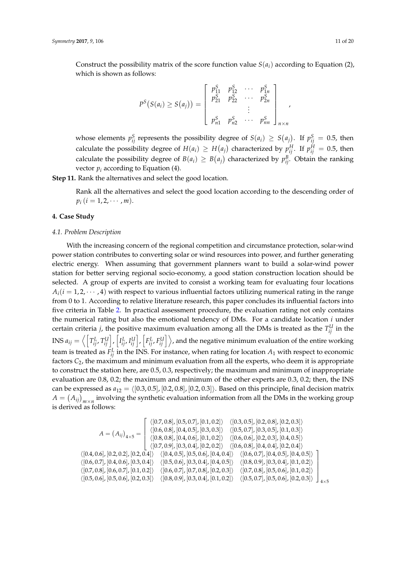Construct the possibility matrix of the score function value  $S(a_i)$  according to Equation (2), which is shown as follows:

$$
P^{S}(S(a_{i}) \geq S(a_{j})) = \begin{bmatrix} p_{11}^{S} & p_{12}^{S} & \cdots & p_{1n}^{S} \\ p_{21}^{S} & p_{22}^{S} & \cdots & p_{2n}^{S} \\ \vdots & \vdots & \ddots & \vdots \\ p_{n1}^{S} & p_{n2}^{S} & \cdots & p_{nn}^{S} \end{bmatrix}_{n \times n}
$$

whose elements  $p_{ij}^S$  represents the possibility degree of  $S(a_i) \geq S(a_j)$ . If  $p_{ij}^S = 0.5$ , then calculate the possibility degree of  $H(a_i) \geq H(a_j)$  characterized by  $p_{ij}^H$ . If  $p_{ij}^H = 0.5$ , then calculate the possibility degree of  $B(a_i) \geq B(a_j)$  characterized by  $p_{ij}^B$ . Obtain the ranking vector  $p_i$  according to Equation (4).

**Step 11.** Rank the alternatives and select the good location.

Rank all the alternatives and select the good location according to the descending order of  $p_i$  ( $i = 1, 2, \cdots, m$ ).

# <span id="page-10-0"></span>**4. Case Study**

#### <span id="page-10-1"></span>*4.1. Problem Description*

With the increasing concern of the regional competition and circumstance protection, solar-wind power station contributes to converting solar or wind resources into power, and further generating electric energy. When assuming that government planners want to build a solar-wind power station for better serving regional socio-economy, a good station construction location should be selected. A group of experts are invited to consist a working team for evaluating four locations  $A_i(i = 1, 2, \dots, 4)$  with respect to various influential factors utilizing numerical rating in the range from 0 to 1. According to relative literature research, this paper concludes its influential factors into five criteria in Table [2.](#page-11-0) In practical assessment procedure, the evaluation rating not only contains the numerical rating but also the emotional tendency of DMs. For a candidate location *i* under certain criteria *j*, the positive maximum evaluation among all the DMs is treated as the  $T_{ij}^U$  in the INS  $a_{ij}=\left<\left[T^L_{ij},T^U_{ij}\right],\left[I^L_{ij},I^U_{ij}\right],\left[F^L_{ij},F^U_{ij}\right]\right>,$  and the negative minimum evaluation of the entire working team is treated as  $F_{ij}^L$  in the INS. For instance, when rating for location  $A_1$  with respect to economic factors  $C_2$ , the maximum and minimum evaluation from all the experts, who deem it is appropriate to construct the station here, are 0.5, 0.3, respectively; the maximum and minimum of inappropriate evaluation are 0.8, 0.2; the maximum and minimum of the other experts are 0.3, 0.2; then, the INS can be expressed as  $a_{12} = \langle [0.3, 0.5], [0.2, 0.8], [0.2, 0.3]\rangle$ . Based on this principle, final decision matrix  $A = (A_{ij})_{m \times n}$  involving the synthetic evaluation information from all the DMs in the working group is derived as follows:

$$
A = (A_{ij})_{4 \times 5} = \begin{bmatrix} \langle [0.7, 0.8], [0.5, 0.7], [0.1, 0.2] \rangle & \langle [0.3, 0.5], [0.2, 0.8], [0.2, 0.3] \rangle \\ \langle [0.6, 0.8], [0.4, 0.5], [0.3, 0.3] \rangle & \langle [0.5, 0.7], [0.3, 0.5], [0.1, 0.3] \rangle \\ \langle [0.8, 0.8], [0.4, 0.6], [0.1, 0.2] \rangle & \langle [0.6, 0.6], [0.2, 0.3], [0.4, 0.5] \rangle \\ \langle [0.7, 0.9], [0.3, 0.4], [0.2, 0.2] \rangle & \langle [0.6, 0.8], [0.4, 0.4], [0.2, 0.4] \rangle \\ \langle [0.4, 0.6], [0.2, 0.2], [0.2, 0.4] \rangle & \langle [0.4, 0.5], [0.5, 0.6], [0.4, 0.4] \rangle & \langle [0.6, 0.7], [0.4, 0.5], [0.4, 0.5] \rangle \\ \langle [0.6, 0.7], [0.4, 0.6], [0.3, 0.4] \rangle & \langle [0.5, 0.6], [0.3, 0.4], [0.4, 0.5] \rangle & \langle [0.8, 0.9], [0.3, 0.4], [0.1, 0.2] \rangle \\ \langle [0.5, 0.6], [0.5, 0.6], [0.2, 0.3] \rangle & \langle [0.8, 0.9], [0.3, 0.4], [0.1, 0.2] \rangle & \langle [0.5, 0.7], [0.5, 0.6], [0.2, 0.3] \rangle \end{bmatrix}
$$

,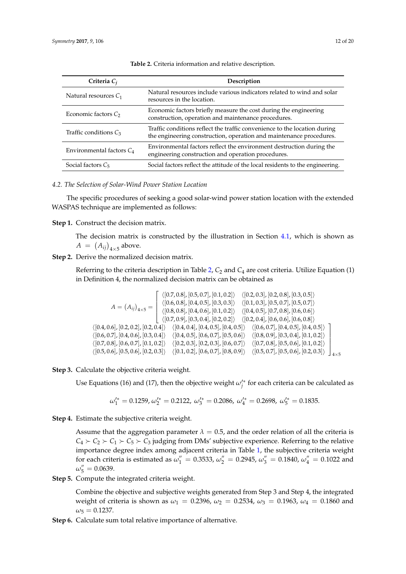<span id="page-11-0"></span>

| Criteria $C_i$                | Description                                                                                                                                      |  |  |  |
|-------------------------------|--------------------------------------------------------------------------------------------------------------------------------------------------|--|--|--|
| Natural resources $C_1$       | Natural resources include various indicators related to wind and solar<br>resources in the location.                                             |  |  |  |
| Economic factors $C_2$        | Economic factors briefly measure the cost during the engineering<br>construction, operation and maintenance procedures.                          |  |  |  |
| Traffic conditions $C_3$      | Traffic conditions reflect the traffic convenience to the location during<br>the engineering construction, operation and maintenance procedures. |  |  |  |
| Environmental factors $C_4$   | Environmental factors reflect the environment destruction during the<br>engineering construction and operation procedures.                       |  |  |  |
| Social factors C <sub>5</sub> | Social factors reflect the attitude of the local residents to the engineering.                                                                   |  |  |  |

**Table 2.** Criteria information and relative description.

## *4.2. The Selection of Solar-Wind Power Station Location*

The specific procedures of seeking a good solar-wind power station location with the extended WASPAS technique are implemented as follows:

## **Step 1.** Construct the decision matrix.

The decision matrix is constructed by the illustration in Section [4.1,](#page-10-1) which is shown as  $A = (A_{ij})_{4 \times 5}$  above.

# **Step 2.** Derive the normalized decision matrix.

Referring to the criteria description in Table [2,](#page-11-0)  $C_2$  and  $C_4$  are cost criteria. Utilize Equation (1) in Definition 4, the normalized decision matrix can be obtained as

$$
A = (A_{ij})_{4 \times 5} = \begin{bmatrix} \langle [0.7, 0.8], [0.5, 0.7], [0.1, 0.2] \rangle & \langle [0.2, 0.3], [0.2, 0.8], [0.3, 0.5] \rangle \\ \langle [0.6, 0.8], [0.4, 0.5], [0.3, 0.3] \rangle & \langle [0.1, 0.3], [0.5, 0.7], [0.5, 0.7] \rangle \\ \langle [0.8, 0.8], [0.4, 0.6], [0.1, 0.2] \rangle & \langle [0.4, 0.5], [0.7, 0.8], [0.6, 0.6] \rangle \\ \langle [0.7, 0.9], [0.3, 0.4], [0.2, 0.2] \rangle & \langle [0.2, 0.4], [0.6, 0.6], [0.6, 0.8] \rangle \\ \langle [0.4, 0.6], [0.2, 0.2], [0.2, 0.4] \rangle & \langle [0.4, 0.4], [0.4, 0.5], [0.4, 0.5] \rangle & \langle [0.6, 0.7], [0.4, 0.5], [0.4, 0.5] \rangle \\ \langle [0.7, 0.8], [0.4, 0.6], [0.3, 0.4] \rangle & \langle [0.4, 0.5], [0.6, 0.7], [0.5, 0.6] \rangle & \langle [0.8, 0.9], [0.3, 0.4], [0.1, 0.2] \rangle \\ \langle [0.5, 0.6], [0.5, 0.6], [0.2, 0.3] \rangle & \langle [0.1, 0.2], [0.6, 0.7], [0.8, 0.9] \rangle & \langle [0.5, 0.7], [0.5, 0.6], [0.2, 0.3] \rangle \end{bmatrix}
$$

#### **Step 3.** Calculate the objective criteria weight.

Use Equations (16) and (17), then the objective weight  $\omega_j^{\prime*}$  for each criteria can be calculated as

$$
\omega_1^{\prime *} = 0.1259, \omega_2^{\prime *} = 0.2122, \omega_3^{\prime *} = 0.2086, \omega_4^{\prime *} = 0.2698, \omega_5^{\prime *} = 0.1835.
$$

**Step 4.** Estimate the subjective criteria weight.

Assume that the aggregation parameter  $\lambda = 0.5$ , and the order relation of all the criteria is  $C_4 \succ C_2 \succ C_1 \succ C_5 \succ C_3$  judging from DMs' subjective experience. Referring to the relative importance degree index among adjacent criteria in Table [1,](#page-7-0) the subjective criteria weight for each criteria is estimated as  $\omega_1'' = 0.3533$ ,  $\omega_2'' = 0.2945$ ,  $\omega_3'' = 0.1840$ ,  $\omega_4'' = 0.1022$  and  $\omega_5'' = 0.0639.$ 

**Step 5.** Compute the integrated criteria weight.

Combine the objective and subjective weights generated from Step 3 and Step 4, the integrated weight of criteria is shown as  $ω_1 = 0.2396$ ,  $ω_2 = 0.2534$ ,  $ω_3 = 0.1963$ ,  $ω_4 = 0.1860$  and  $\omega_5 = 0.1237$ .

**Step 6.** Calculate sum total relative importance of alternative.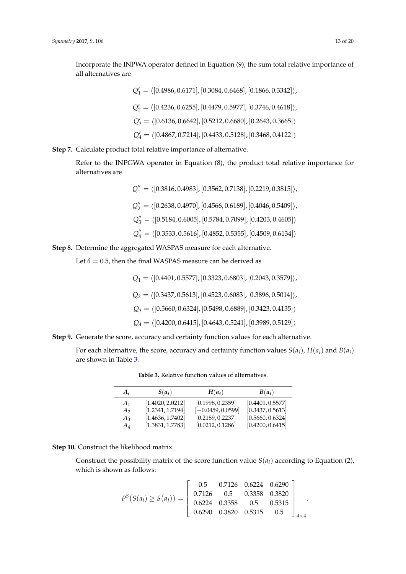Incorporate the INPWA operator defined in Equation (9), the sum total relative importance of all alternatives are

$$
Q'_1 = \langle [0.4986, 0.6171], [0.3084, 0.6468], [0.1866, 0.3342] \rangle,
$$
  
\n
$$
Q'_2 = \langle [0.4236, 0.6255], [0.4479, 0.5977], [0.3746, 0.4618] \rangle,
$$
  
\n
$$
Q'_3 = \langle [0.6136, 0.6642], [0.5212, 0.6680], [0.2643, 0.3665] \rangle
$$
  
\n
$$
Q'_4 = \langle [0.4867, 0.7214], [0.4433, 0.5128], [0.3468, 0.4122] \rangle
$$

**Step 7.** Calculate product total relative importance of alternative.

Refer to the INPGWA operator in Equation (8), the product total relative importance for alternatives are

> $Q_1'' = \langle [0.3816, 0.4983], [0.3562, 0.7138], [0.2219, 0.3815] \rangle,$  $Q_2'' = \langle [0.2638, 0.4970], [0.4566, 0.6189], [0.4046, 0.5409] \rangle$  $Q_3'' = \langle [0.5184, 0.6005], [0.5784, 0.7099], [0.4203, 0.4605] \rangle$  $Q_4'' = \langle [0.3533, 0.5616], [0.4852, 0.5355], [0.4509, 0.6134] \rangle$

**Step 8.** Determine the aggregated WASPAS measure for each alternative.

Let  $\theta$  = 0.5, then the final WASPAS measure can be derived as

- $Q_1 = \langle [0.4401, 0.5577], [0.3323, 0.6803], [0.2043, 0.3579] \rangle$
- $Q_2 = \langle [0.3437, 0.5613], [0.4523, 0.6083], [0.3896, 0.5014] \rangle,$
- $Q_3 = \langle [0.5660, 0.6324], [0.5498, 0.6889], [0.3423, 0.4135] \rangle$
- $Q_4 = \langle [0.4200, 0.6415], [0.4643, 0.5241], [0.3989, 0.5129] \rangle$
- **Step 9.** Generate the score, accuracy and certainty function values for each alternative.

<span id="page-12-0"></span>For each alternative, the score, accuracy and certainty function values  $S(a_i)$ ,  $H(a_i)$  and  $B(a_i)$ are shown in Table [3.](#page-12-0)

| $A_i$          | $S(a_i)$         | $H(a_i)$            | $B(a_i)$         |
|----------------|------------------|---------------------|------------------|
| A <sub>1</sub> | [1.4020, 2.0212] | [0.1998, 0.2359]    | [0.4401, 0.5577] |
| A2             | [1.2341, 1.7194] | $[-0.0459, 0.0599]$ | [0.3437, 0.5613] |
| $A_3$          | [1.4636, 1.7402] | [0.2189, 0.2237]    | [0.5660, 0.6324] |
| $A_4$          | [1.3831, 1.7783] | [0.0212, 0.1286]    | [0.4200, 0.6415] |

**Table 3.** Relative function values of alternatives.

**Step 10.** Construct the likelihood matrix.

Construct the possibility matrix of the score function value  $S(a_i)$  according to Equation (2), which is shown as follows:

$$
P^{S}(S(a_{i}) \geq S(a_{j})) = \begin{bmatrix} 0.5 & 0.7126 & 0.6224 & 0.6290 \\ 0.7126 & 0.5 & 0.3358 & 0.3820 \\ 0.6224 & 0.3358 & 0.5 & 0.5315 \\ 0.6290 & 0.3820 & 0.5315 & 0.5 \end{bmatrix}_{4 \times 4}.
$$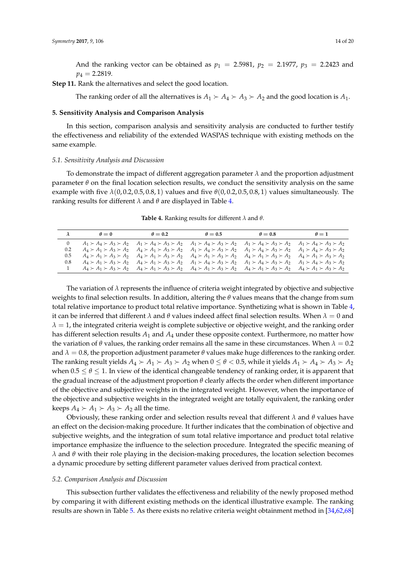And the ranking vector can be obtained as  $p_1 = 2.5981$ ,  $p_2 = 2.1977$ ,  $p_3 = 2.2423$  and  $p_4 = 2.2819.$ 

**Step 11.** Rank the alternatives and select the good location.

The ranking order of all the alternatives is  $A_1 \succ A_4 \succ A_3 \succ A_2$  and the good location is  $A_1$ .

# <span id="page-13-0"></span>**5. Sensitivity Analysis and Comparison Analysis**

In this section, comparison analysis and sensitivity analysis are conducted to further testify the effectiveness and reliability of the extended WASPAS technique with existing methods on the same example.

#### *5.1. Sensitivity Analysis and Discussion*

To demonstrate the impact of different aggregation parameter *λ* and the proportion adjustment parameter  $\theta$  on the final location selection results, we conduct the sensitivity analysis on the same example with five  $\lambda(0, 0.2, 0.5, 0.8, 1)$  values and five  $\theta(0, 0.2, 0.5, 0.8, 1)$  values simultaneously. The ranking results for different *λ* and *θ* are displayed in Table [4.](#page-13-1)

<span id="page-13-1"></span>

| $\lambda$ | $\theta = 0$ | $\theta = 0.2$ | $\theta = 0.5$ | $\theta = 0.8$                                                                                                                                                                      | $\theta=1$ |
|-----------|--------------|----------------|----------------|-------------------------------------------------------------------------------------------------------------------------------------------------------------------------------------|------------|
| $\bf{0}$  |              |                |                | $A_1 \succ A_4 \succ A_3 \succ A_2$ $A_1 \succ A_4 \succ A_3 \succ A_2$ $A_1 \succ A_4 \succ A_3 \succ A_2$ $A_1 \succ A_4 \succ A_3 \succ A_2$ $A_1 \succ A_4 \succ A_3 \succ A_2$ |            |
| $0.2\,$   |              |                |                | $A_4 \succ A_1 \succ A_3 \succ A_2$ $A_4 \succ A_1 \succ A_3 \succ A_2$ $A_1 \succ A_4 \succ A_3 \succ A_2$ $A_1 \succ A_4 \succ A_3 \succ A_2$ $A_1 \succ A_4 \succ A_3 \succ A_2$ |            |
| 0.5       |              |                |                | $A_4 \succ A_1 \succ A_3 \succ A_2$ $A_4 \succ A_1 \succ A_3 \succ A_2$ $A_4 \succ A_1 \succ A_3 \succ A_2$ $A_4 \succ A_1 \succ A_3 \succ A_2$ $A_4 \succ A_1 \succ A_3 \succ A_2$ |            |
| 0.8       |              |                |                | $A_4 \succ A_1 \succ A_3 \succ A_2$ $A_4 \succ A_1 \succ A_3 \succ A_2$ $A_1 \succ A_4 \succ A_3 \succ A_2$ $A_1 \succ A_4 \succ A_3 \succ A_2$ $A_1 \succ A_4 \succ A_3 \succ A_2$ |            |
|           |              |                |                | $A_4 \succ A_1 \succ A_3 \succ A_2$ $A_4 \succ A_1 \succ A_3 \succ A_2$ $A_4 \succ A_1 \succ A_3 \succ A_2$ $A_4 \succ A_1 \succ A_3 \succ A_2$ $A_4 \succ A_1 \succ A_3 \succ A_2$ |            |

**Table 4.** Ranking results for different *λ* and *θ*.

The variation of  $\lambda$  represents the influence of criteria weight integrated by objective and subjective weights to final selection results. In addition, altering the *θ* values means that the change from sum total relative importance to product total relative importance. Synthetizing what is shown in Table [4,](#page-13-1) it can be inferred that different  $λ$  and  $θ$  values indeed affect final selection results. When  $λ = 0$  and  $\lambda = 1$ , the integrated criteria weight is complete subjective or objective weight, and the ranking order has different selection results *A*<sup>1</sup> and *A*<sup>4</sup> under these opposite context. Furthermore, no matter how the variation of  $\theta$  values, the ranking order remains all the same in these circumstances. When  $\lambda = 0.2$ and  $\lambda = 0.8$ , the proportion adjustment parameter  $\theta$  values make huge differences to the ranking order. The ranking result yields  $A_4 \succ A_1 \succ A_3 \succ A_2$  when  $0 \le \theta < 0.5$ , while it yields  $A_1 \succ A_4 \succ A_3 \succ A_2$ when  $0.5 \le \theta \le 1$ . In view of the identical changeable tendency of ranking order, it is apparent that the gradual increase of the adjustment proportion *θ* clearly affects the order when different importance of the objective and subjective weights in the integrated weight. However, when the importance of the objective and subjective weights in the integrated weight are totally equivalent, the ranking order keeps  $A_4 \succ A_1 \succ A_3 \succ A_2$  all the time.

Obviously, these ranking order and selection results reveal that different *λ* and *θ* values have an effect on the decision-making procedure. It further indicates that the combination of objective and subjective weights, and the integration of sum total relative importance and product total relative importance emphasize the influence to the selection procedure. Integrated the specific meaning of *λ* and *θ* with their role playing in the decision-making procedures, the location selection becomes a dynamic procedure by setting different parameter values derived from practical context.

#### *5.2. Comparison Analysis and Discussion*

This subsection further validates the effectiveness and reliability of the newly proposed method by comparing it with different existing methods on the identical illustrative example. The ranking results are shown in Table [5.](#page-14-0) As there exists no relative criteria weight obtainment method in [\[34,](#page-17-14)[62,](#page-18-19)[68\]](#page-19-1)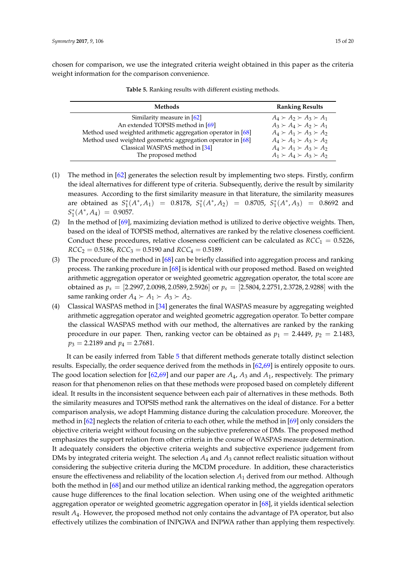<span id="page-14-0"></span>chosen for comparison, we use the integrated criteria weight obtained in this paper as the criteria weight information for the comparison convenience.

| Methods                                                      | <b>Ranking Results</b>              |
|--------------------------------------------------------------|-------------------------------------|
| Similarity measure in [62]                                   | $A_4 \succ A_2 \succ A_3 \succ A_1$ |
| An extended TOPSIS method in [69]                            | $A_3 \succ A_4 \succ A_2 \succ A_1$ |
| Method used weighted arithmetic aggregation operator in [68] | $A_4 \succ A_1 \succ A_3 \succ A_2$ |
| Method used weighted geometric aggregation operator in [68]  | $A_4 \succ A_1 \succ A_3 \succ A_2$ |
| Classical WASPAS method in [34]                              | $A_4 \succ A_1 \succ A_3 \succ A_2$ |
| The proposed method                                          | $A_1 \succ A_4 \succ A_3 \succ A_2$ |

|  |  |  |  |  |  |  |  | <b>Table 5.</b> Ranking results with different existing methods. |
|--|--|--|--|--|--|--|--|------------------------------------------------------------------|
|--|--|--|--|--|--|--|--|------------------------------------------------------------------|

- (1) The method in [\[62\]](#page-18-19) generates the selection result by implementing two steps. Firstly, confirm the ideal alternatives for different type of criteria. Subsequently, derive the result by similarity measures. According to the first similarity measure in that literature, the similarity measures are obtained as  $S_1^*(A^*, A_1) = 0.8178$ ,  $S_1^*(A^*, A_2) = 0.8705$ ,  $S_1^*(A^*, A_3) = 0.8692$  and  $S_1^*(A^*, A_4) = 0.9057.$
- (2) In the method of [\[69\]](#page-19-2), maximizing deviation method is utilized to derive objective weights. Then, based on the ideal of TOPSIS method, alternatives are ranked by the relative closeness coefficient. Conduct these procedures, relative closeness coefficient can be calculated as  $RCC_1 = 0.5226$ ,  $RCC_2 = 0.5186$ ,  $RCC_3 = 0.5190$  and  $RCC_4 = 0.5189$ .
- (3) The procedure of the method in [\[68\]](#page-19-1) can be briefly classified into aggregation process and ranking process. The ranking procedure in [\[68\]](#page-19-1) is identical with our proposed method. Based on weighted arithmetic aggregation operator or weighted geometric aggregation operator, the total score are obtained as *p<sup>s</sup>* = [2.2997, 2.0098, 2.0589, 2.5926] or *p<sup>s</sup>* = [2.5804, 2.2751, 2.3728, 2.9288] with the same ranking order  $A_4 \succ A_1 \succ A_3 \succ A_2$ .
- (4) Classical WASPAS method in [\[34\]](#page-17-14) generates the final WASPAS measure by aggregating weighted arithmetic aggregation operator and weighted geometric aggregation operator. To better compare the classical WASPAS method with our method, the alternatives are ranked by the ranking procedure in our paper. Then, ranking vector can be obtained as  $p_1 = 2.4449$ ,  $p_2 = 2.1483$ ,  $p_3 = 2.2189$  and  $p_4 = 2.7681$ .

It can be easily inferred from Table [5](#page-14-0) that different methods generate totally distinct selection results. Especially, the order sequence derived from the methods in [\[62,](#page-18-19)[69\]](#page-19-2) is entirely opposite to ours. The good location selection for [\[62,](#page-18-19)[69\]](#page-19-2) and our paper are *A*4, *A*<sup>3</sup> and *A*1, respectively. The primary reason for that phenomenon relies on that these methods were proposed based on completely different ideal. It results in the inconsistent sequence between each pair of alternatives in these methods. Both the similarity measures and TOPSIS method rank the alternatives on the ideal of distance. For a better comparison analysis, we adopt Hamming distance during the calculation procedure. Moreover, the method in [\[62\]](#page-18-19) neglects the relation of criteria to each other, while the method in [\[69\]](#page-19-2) only considers the objective criteria weight without focusing on the subjective preference of DMs. The proposed method emphasizes the support relation from other criteria in the course of WASPAS measure determination. It adequately considers the objective criteria weights and subjective experience judgement from DMs by integrated criteria weight. The selection *A*<sup>4</sup> and *A*<sup>3</sup> cannot reflect realistic situation without considering the subjective criteria during the MCDM procedure. In addition, these characteristics ensure the effectiveness and reliability of the location selection *A*<sup>1</sup> derived from our method. Although both the method in [\[68\]](#page-19-1) and our method utilize an identical ranking method, the aggregation operators cause huge differences to the final location selection. When using one of the weighted arithmetic aggregation operator or weighted geometric aggregation operator in [\[68\]](#page-19-1), it yields identical selection result *A*4. However, the proposed method not only contains the advantage of PA operator, but also effectively utilizes the combination of INPGWA and INPWA rather than applying them respectively.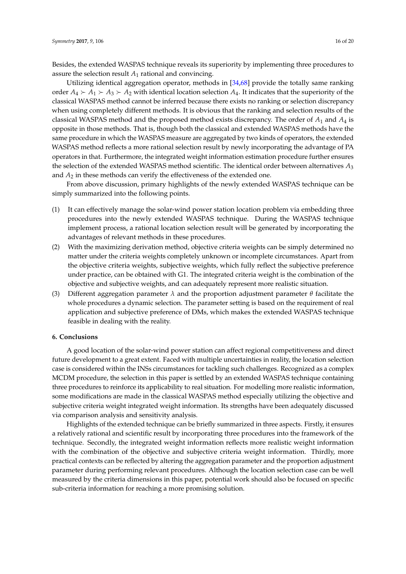Besides, the extended WASPAS technique reveals its superiority by implementing three procedures to assure the selection result *A*<sup>1</sup> rational and convincing.

Utilizing identical aggregation operator, methods in [\[34,](#page-17-14)[68\]](#page-19-1) provide the totally same ranking order  $A_4 \succ A_1 \succ A_3 \succ A_2$  with identical location selection  $A_4$ . It indicates that the superiority of the classical WASPAS method cannot be inferred because there exists no ranking or selection discrepancy when using completely different methods. It is obvious that the ranking and selection results of the classical WASPAS method and the proposed method exists discrepancy. The order of *A*<sup>1</sup> and *A*<sup>4</sup> is opposite in those methods. That is, though both the classical and extended WASPAS methods have the same procedure in which the WASPAS measure are aggregated by two kinds of operators, the extended WASPAS method reflects a more rational selection result by newly incorporating the advantage of PA operators in that. Furthermore, the integrated weight information estimation procedure further ensures the selection of the extended WASPAS method scientific. The identical order between alternatives *A*<sup>3</sup> and *A*<sup>2</sup> in these methods can verify the effectiveness of the extended one.

From above discussion, primary highlights of the newly extended WASPAS technique can be simply summarized into the following points.

- (1) It can effectively manage the solar-wind power station location problem via embedding three procedures into the newly extended WASPAS technique. During the WASPAS technique implement process, a rational location selection result will be generated by incorporating the advantages of relevant methods in these procedures.
- (2) With the maximizing derivation method, objective criteria weights can be simply determined no matter under the criteria weights completely unknown or incomplete circumstances. Apart from the objective criteria weights, subjective weights, which fully reflect the subjective preference under practice, can be obtained with G1. The integrated criteria weight is the combination of the objective and subjective weights, and can adequately represent more realistic situation.
- (3) Different aggregation parameter *λ* and the proportion adjustment parameter *θ* facilitate the whole procedures a dynamic selection. The parameter setting is based on the requirement of real application and subjective preference of DMs, which makes the extended WASPAS technique feasible in dealing with the reality.

# <span id="page-15-0"></span>**6. Conclusions**

A good location of the solar-wind power station can affect regional competitiveness and direct future development to a great extent. Faced with multiple uncertainties in reality, the location selection case is considered within the INSs circumstances for tackling such challenges. Recognized as a complex MCDM procedure, the selection in this paper is settled by an extended WASPAS technique containing three procedures to reinforce its applicability to real situation. For modelling more realistic information, some modifications are made in the classical WASPAS method especially utilizing the objective and subjective criteria weight integrated weight information. Its strengths have been adequately discussed via comparison analysis and sensitivity analysis.

Highlights of the extended technique can be briefly summarized in three aspects. Firstly, it ensures a relatively rational and scientific result by incorporating three procedures into the framework of the technique. Secondly, the integrated weight information reflects more realistic weight information with the combination of the objective and subjective criteria weight information. Thirdly, more practical contexts can be reflected by altering the aggregation parameter and the proportion adjustment parameter during performing relevant procedures. Although the location selection case can be well measured by the criteria dimensions in this paper, potential work should also be focused on specific sub-criteria information for reaching a more promising solution.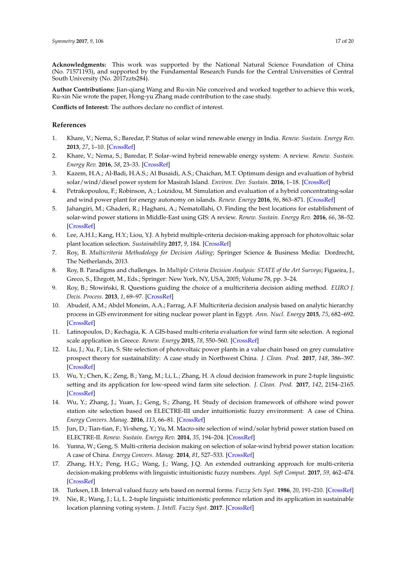**Acknowledgments:** This work was supported by the National Natural Science Foundation of China (No. 71571193), and supported by the Fundamental Research Funds for the Central Universities of Central South University (No. 2017zzts284).

**Author Contributions:** Jian-qiang Wang and Ru-xin Nie conceived and worked together to achieve this work, Ru-xin Nie wrote the paper, Hong-yu Zhang made contribution to the case study.

**Conflicts of Interest:** The authors declare no conflict of interest.

# **References**

- <span id="page-16-0"></span>1. Khare, V.; Nema, S.; Baredar, P. Status of solar wind renewable energy in India. *Renew. Sustain. Energy Rev.* **2013**, *27*, 1–10. [\[CrossRef\]](http://dx.doi.org/10.1016/j.rser.2013.06.018)
- <span id="page-16-1"></span>2. Khare, V.; Nema, S.; Baredar, P. Solar–wind hybrid renewable energy system: A review. *Renew. Sustain. Energy Rev.* **2016**, *58*, 23–33. [\[CrossRef\]](http://dx.doi.org/10.1016/j.rser.2015.12.223)
- <span id="page-16-2"></span>3. Kazem, H.A.; Al-Badi, H.A.S.; Al Busaidi, A.S.; Chaichan, M.T. Optimum design and evaluation of hybrid solar/wind/diesel power system for Masirah Island. *Environ. Dev. Sustain.* **2016**, 1–18. [\[CrossRef\]](http://dx.doi.org/10.1007/s10668-016-9828-1)
- <span id="page-16-3"></span>4. Petrakopoulou, F.; Robinson, A.; Loizidou, M. Simulation and evaluation of a hybrid concentrating-solar and wind power plant for energy autonomy on islands. *Renew. Energy* **2016**, *96*, 863–871. [\[CrossRef\]](http://dx.doi.org/10.1016/j.renene.2016.05.030)
- <span id="page-16-4"></span>5. Jahangiri, M.; Ghaderi, R.; Haghani, A.; Nematollahi, O. Finding the best locations for establishment of solar-wind power stations in Middle-East using GIS: A review. *Renew. Sustain. Energy Rev.* **2016**, *66*, 38–52. [\[CrossRef\]](http://dx.doi.org/10.1016/j.rser.2016.07.069)
- <span id="page-16-5"></span>6. Lee, A.H.I.; Kang, H.Y.; Liou, Y.J. A hybrid multiple-criteria decision-making approach for photovoltaic solar plant location selection. *Sustainability* **2017**, *9*, 184. [\[CrossRef\]](http://dx.doi.org/10.3390/su9020184)
- <span id="page-16-6"></span>7. Roy, B. *Multicriteria Methodology for Decision Aiding*; Springer Science & Business Media: Dordrecht, The Netherlands, 2013.
- <span id="page-16-7"></span>8. Roy, B. Paradigms and challenges. In *Multiple Criteria Decision Analysis: STATE of the Art Surveys*; Figueira, J., Greco, S., Ehrgott, M., Eds.; Springer: New York, NY, USA, 2005; Volume 78, pp. 3–24.
- <span id="page-16-8"></span>9. Roy, B.; Słowiński, R. Questions guiding the choice of a multicriteria decision aiding method. *EURO J. Decis. Process.* **2013**, *1*, 69–97. [\[CrossRef\]](http://dx.doi.org/10.1007/s40070-013-0004-7)
- <span id="page-16-9"></span>10. Abudeif, A.M.; Abdel Moneim, A.A.; Farrag, A.F. Multicriteria decision analysis based on analytic hierarchy process in GIS environment for siting nuclear power plant in Egypt. *Ann. Nucl. Energy* **2015**, *75*, 682–692. [\[CrossRef\]](http://dx.doi.org/10.1016/j.anucene.2014.09.024)
- <span id="page-16-10"></span>11. Latinopoulos, D.; Kechagia, K. A GIS-based multi-criteria evaluation for wind farm site selection. A regional scale application in Greece. *Renew. Energy* **2015**, *78*, 550–560. [\[CrossRef\]](http://dx.doi.org/10.1016/j.renene.2015.01.041)
- <span id="page-16-11"></span>12. Liu, J.; Xu, F.; Lin, S. Site selection of photovoltaic power plants in a value chain based on grey cumulative prospect theory for sustainability: A case study in Northwest China. *J. Clean. Prod.* **2017**, *148*, 386–397. [\[CrossRef\]](http://dx.doi.org/10.1016/j.jclepro.2017.02.012)
- <span id="page-16-12"></span>13. Wu, Y.; Chen, K.; Zeng, B.; Yang, M.; Li, L.; Zhang, H. A cloud decision framework in pure 2-tuple linguistic setting and its application for low-speed wind farm site selection. *J. Clean. Prod.* **2017**, *142*, 2154–2165. [\[CrossRef\]](http://dx.doi.org/10.1016/j.jclepro.2016.11.067)
- <span id="page-16-13"></span>14. Wu, Y.; Zhang, J.; Yuan, J.; Geng, S.; Zhang, H. Study of decision framework of offshore wind power station site selection based on ELECTRE-III under intuitionistic fuzzy environment: A case of China. *Energy Convers. Manag.* **2016**, *113*, 66–81. [\[CrossRef\]](http://dx.doi.org/10.1016/j.enconman.2016.01.020)
- <span id="page-16-14"></span>15. Jun, D.; Tian-tian, F.; Yi-sheng, Y.; Yu, M. Macro-site selection of wind/solar hybrid power station based on ELECTRE-II. *Renew. Sustain. Energy Rev.* **2014**, *35*, 194–204. [\[CrossRef\]](http://dx.doi.org/10.1016/j.rser.2014.04.005)
- <span id="page-16-15"></span>16. Yunna, W.; Geng, S. Multi-criteria decision making on selection of solar-wind hybrid power station location: A case of China. *Energy Convers. Manag.* **2014**, *81*, 527–533. [\[CrossRef\]](http://dx.doi.org/10.1016/j.enconman.2014.02.056)
- <span id="page-16-16"></span>17. Zhang, H.Y.; Peng, H.G.; Wang, J.; Wang, J.Q. An extended outranking approach for multi-criteria decision-making problems with linguistic intuitionistic fuzzy numbers. *Appl. Soft Comput.* **2017**, *59*, 462–474. [\[CrossRef\]](http://dx.doi.org/10.1016/j.asoc.2017.06.013)
- <span id="page-16-17"></span>18. Turksen, I.B. Interval valued fuzzy sets based on normal forms. *Fuzzy Sets Syst.* **1986**, *20*, 191–210. [\[CrossRef\]](http://dx.doi.org/10.1016/0165-0114(86)90077-1)
- <span id="page-16-18"></span>19. Nie, R.; Wang, J.; Li, L. 2-tuple linguistic intuitionistic preference relation and its application in sustainable location planning voting system. *J. Intell. Fuzzy Syst.* **2017**. [\[CrossRef\]](http://dx.doi.org/10.3233/JIFS-162139)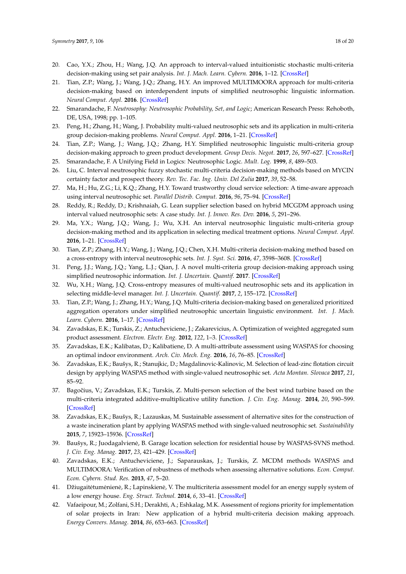- <span id="page-17-0"></span>20. Cao, Y.X.; Zhou, H.; Wang, J.Q. An approach to interval-valued intuitionistic stochastic multi-criteria decision-making using set pair analysis. *Int. J. Mach. Learn. Cybern.* **2016**, 1–12. [\[CrossRef\]](http://dx.doi.org/10.1007/s13042-016-0589-9)
- <span id="page-17-1"></span>21. Tian, Z.P.; Wang, J.; Wang, J.Q.; Zhang, H.Y. An improved MULTIMOORA approach for multi-criteria decision-making based on interdependent inputs of simplified neutrosophic linguistic information. *Neural Comput. Appl.* **2016**. [\[CrossRef\]](http://dx.doi.org/10.1007/s00521-016-2378-5)
- <span id="page-17-2"></span>22. Smarandache, F. *Neutrosophy: Neutrosophic Probability, Set, and Logic*; American Research Press: Rehoboth, DE, USA, 1998; pp. 1–105.
- <span id="page-17-3"></span>23. Peng, H.; Zhang, H.; Wang, J. Probability multi-valued neutrosophic sets and its application in multi-criteria group decision-making problems. *Neural Comput. Appl.* **2016**, 1–21. [\[CrossRef\]](http://dx.doi.org/10.1007/s00521-016-2702-0)
- <span id="page-17-4"></span>24. Tian, Z.P.; Wang, J.; Wang, J.Q.; Zhang, H.Y. Simplified neutrosophic linguistic multi-criteria group decision-making approach to green product development. *Group Decis. Negot.* **2017**, *26*, 597–627. [\[CrossRef\]](http://dx.doi.org/10.1007/s10726-016-9479-5)
- <span id="page-17-5"></span>25. Smarandache, F. A Unifying Field in Logics: Neutrosophic Logic. *Mult. Log.* **1999**, *8*, 489–503.
- <span id="page-17-6"></span>26. Liu, C. Interval neutrosophic fuzzy stochastic multi-criteria decision-making methods based on MYCIN certainty factor and prospect theory. *Rev. Tec. Fac. Ing. Univ. Del Zulia* **2017**, *39*, 52–58.
- <span id="page-17-7"></span>27. Ma, H.; Hu, Z.G.; Li, K.Q.; Zhang, H.Y. Toward trustworthy cloud service selection: A time-aware approach using interval neutrosophic set. *Parallel Distrib. Comput.* **2016**, *96*, 75–94. [\[CrossRef\]](http://dx.doi.org/10.1016/j.jpdc.2016.05.008)
- <span id="page-17-8"></span>28. Reddy, R.; Reddy, D.; Krishnaiah, G. Lean supplier selection based on hybrid MCGDM approach using interval valued neutrosophic sets: A case study. *Int. J. Innov. Res. Dev.* **2016**, *5*, 291–296.
- <span id="page-17-9"></span>29. Ma, Y.X.; Wang, J.Q.; Wang, J.; Wu, X.H. An interval neutrosophic linguistic multi-criteria group decision-making method and its application in selecting medical treatment options. *Neural Comput. Appl.* **2016**, 1–21. [\[CrossRef\]](http://dx.doi.org/10.1007/s00521-016-2203-1)
- <span id="page-17-10"></span>30. Tian, Z.P.; Zhang, H.Y.; Wang, J.; Wang, J.Q.; Chen, X.H. Multi-criteria decision-making method based on a cross-entropy with interval neutrosophic sets. *Int. J. Syst. Sci.* **2016**, *47*, 3598–3608. [\[CrossRef\]](http://dx.doi.org/10.1080/00207721.2015.1102359)
- <span id="page-17-11"></span>31. Peng, J.J.; Wang, J.Q.; Yang, L.J.; Qian, J. A novel multi-criteria group decision-making approach using simplified neutrosophic information. *Int. J. Uncertain. Quantif.* **2017**. [\[CrossRef\]](http://dx.doi.org/10.1615/Int.J.UncertaintyQuantification.2017020126)
- <span id="page-17-12"></span>32. Wu, X.H.; Wang, J.Q. Cross-entropy measures of multi-valued neutrosophic sets and its application in selecting middle-level manager. *Int. J. Uncertain. Quantif.* **2017**, *2*, 155–172. [\[CrossRef\]](http://dx.doi.org/10.1615/Int.J.UncertaintyQuantification.2017019440)
- <span id="page-17-13"></span>33. Tian, Z.P.; Wang, J.; Zhang, H.Y.; Wang, J.Q. Multi-criteria decision-making based on generalized prioritized aggregation operators under simplified neutrosophic uncertain linguistic environment. *Int. J. Mach. Learn. Cybern.* **2016**, 1–17. [\[CrossRef\]](http://dx.doi.org/10.1007/s13042-016-0552-9)
- <span id="page-17-14"></span>34. Zavadskas, E.K.; Turskis, Z.; Antucheviciene, J.; Zakarevicius, A. Optimization of weighted aggregated sum product assessment. *Electron. Electr. Eng.* **2012**, *122*, 1–3. [\[CrossRef\]](http://dx.doi.org/10.5755/j01.eee.122.6.1810)
- <span id="page-17-15"></span>35. Zavadskas, E.K.; Kalibatas, D.; Kalibatiene, D. A multi-attribute assessment using WASPAS for choosing an optimal indoor environment. *Arch. Civ. Mech. Eng.* **2016**, *16*, 76–85. [\[CrossRef\]](http://dx.doi.org/10.1016/j.acme.2015.10.002)
- <span id="page-17-16"></span>36. Zavadskas, E.K.; Baušys, R.; Stanujkic, D.; Magdalinovic-Kalinovic, M. Selection of lead-zinc flotation circuit design by applying WASPAS method with single-valued neutrosophic set. *Acta Montan. Slovaca* **2017**, *21*, 85–92.
- <span id="page-17-17"></span>37. Bagočius, V.; Zavadskas, E.K.; Turskis, Z. Multi-person selection of the best wind turbine based on the multi-criteria integrated additive-multiplicative utility function. *J. Civ. Eng. Manag.* **2014**, *20*, 590–599. [\[CrossRef\]](http://dx.doi.org/10.3846/13923730.2014.932836)
- <span id="page-17-18"></span>38. Zavadskas, E.K.; Baušys, R.; Lazauskas, M. Sustainable assessment of alternative sites for the construction of a waste incineration plant by applying WASPAS method with single-valued neutrosophic set. *Sustainability* **2015**, *7*, 15923–15936. [\[CrossRef\]](http://dx.doi.org/10.3390/su71215792)
- <span id="page-17-19"></span>39. Baušys, R.; Juodagalvienė, B. Garage location selection for residential house by WASPAS-SVNS method. *J. Civ. Eng. Manag.* **2017**, *23*, 421–429. [\[CrossRef\]](http://dx.doi.org/10.3846/13923730.2016.1268645)
- <span id="page-17-20"></span>40. Zavadskas, E.K.; Antucheviciene, J.; Saparauskas, J.; Turskis, Z. MCDM methods WASPAS and MULTIMOORA: Verification of robustness of methods when assessing alternative solutions. *Econ. Comput. Econ. Cybern. Stud. Res.* **2013**, *47*, 5–20.
- <span id="page-17-21"></span>41. Džiugaitėtumėnienė, R.; Lapinskienė, V. The multicriteria assessment model for an energy supply system of a low energy house. *Eng. Struct. Technol.* **2014**, *6*, 33–41. [\[CrossRef\]](http://dx.doi.org/10.3846/2029882X.2014.957903)
- <span id="page-17-22"></span>42. Vafaeipour, M.; Zolfani, S.H.; Derakhti, A.; Eshkalag, M.K. Assessment of regions priority for implementation of solar projects in Iran: New application of a hybrid multi-criteria decision making approach. *Energy Convers. Manag.* **2014**, *86*, 653–663. [\[CrossRef\]](http://dx.doi.org/10.1016/j.enconman.2014.05.083)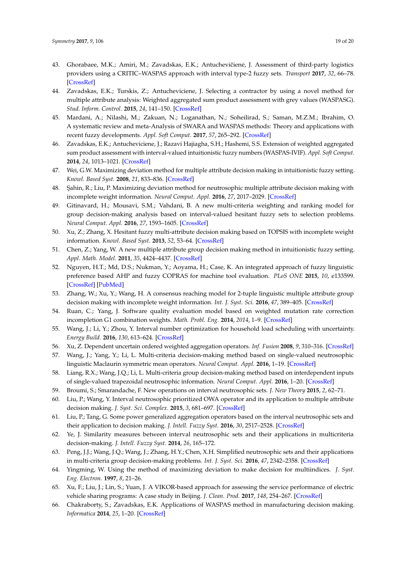- <span id="page-18-0"></span>43. Ghorabaee, M.K.; Amiri, M.; Zavadskas, E.K.; Antuchevičienė, J. Assessment of third-party logistics providers using a CRITIC–WASPAS approach with interval type-2 fuzzy sets. *Transport* **2017**, *32*, 66–78. [\[CrossRef\]](http://dx.doi.org/10.3846/16484142.2017.1282381)
- <span id="page-18-1"></span>44. Zavadskas, E.K.; Turskis, Z.; Antucheviciene, J. Selecting a contractor by using a novel method for multiple attribute analysis: Weighted aggregated sum product assessment with grey values (WASPASG). *Stud. Inform. Control.* **2015**, *24*, 141–150. [\[CrossRef\]](http://dx.doi.org/10.24846/v24i2y201502)
- <span id="page-18-2"></span>45. Mardani, A.; Nilashi, M.; Zakuan, N.; Loganathan, N.; Soheilirad, S.; Saman, M.Z.M.; Ibrahim, O. A systematic review and meta-Analysis of SWARA and WASPAS methods: Theory and applications with recent fuzzy developments. *Appl. Soft Comput.* **2017**, *57*, 265–292. [\[CrossRef\]](http://dx.doi.org/10.1016/j.asoc.2017.03.045)
- <span id="page-18-3"></span>46. Zavadskas, E.K.; Antucheviciene, J.; Razavi Hajiagha, S.H.; Hashemi, S.S. Extension of weighted aggregated sum product assessment with interval-valued intuitionistic fuzzy numbers (WASPAS-IVIF). *Appl. Soft Comput.* **2014**, *24*, 1013–1021. [\[CrossRef\]](http://dx.doi.org/10.1016/j.asoc.2014.08.031)
- <span id="page-18-4"></span>47. Wei, G.W. Maximizing deviation method for multiple attribute decision making in intuitionistic fuzzy setting. *Knowl. Based Syst.* **2008**, *21*, 833–836. [\[CrossRef\]](http://dx.doi.org/10.1016/j.knosys.2008.03.038)
- <span id="page-18-5"></span>48. ¸Sahin, R.; Liu, P. Maximizing deviation method for neutrosophic multiple attribute decision making with incomplete weight information. *Neural Comput. Appl.* **2016**, *27*, 2017–2029. [\[CrossRef\]](http://dx.doi.org/10.1007/s00521-015-1995-8)
- <span id="page-18-6"></span>49. Gitinavard, H.; Mousavi, S.M.; Vahdani, B. A new multi-criteria weighting and ranking model for group decision-making analysis based on interval-valued hesitant fuzzy sets to selection problems. *Neural Comput. Appl.* **2016**, *27*, 1593–1605. [\[CrossRef\]](http://dx.doi.org/10.1007/s00521-015-1958-0)
- <span id="page-18-7"></span>50. Xu, Z.; Zhang, X. Hesitant fuzzy multi-attribute decision making based on TOPSIS with incomplete weight information. *Knowl. Based Syst.* **2013**, *52*, 53–64. [\[CrossRef\]](http://dx.doi.org/10.1016/j.knosys.2013.05.011)
- <span id="page-18-8"></span>51. Chen, Z.; Yang, W. A new multiple attribute group decision making method in intuitionistic fuzzy setting. *Appl. Math. Model.* **2011**, *35*, 4424–4437. [\[CrossRef\]](http://dx.doi.org/10.1016/j.apm.2011.03.015)
- <span id="page-18-9"></span>52. Nguyen, H.T.; Md, D.S.; Nukman, Y.; Aoyama, H.; Case, K. An integrated approach of fuzzy linguistic preference based AHP and fuzzy COPRAS for machine tool evaluation. *PLoS ONE* **2015**, *10*, e133599. [\[CrossRef\]](http://dx.doi.org/10.1371/journal.pone.0133599) [\[PubMed\]](http://www.ncbi.nlm.nih.gov/pubmed/26368541)
- <span id="page-18-10"></span>53. Zhang, W.; Xu, Y.; Wang, H. A consensus reaching model for 2-tuple linguistic multiple attribute group decision making with incomplete weight information. *Int. J. Syst. Sci.* **2016**, *47*, 389–405. [\[CrossRef\]](http://dx.doi.org/10.1080/00207721.2015.1074761)
- <span id="page-18-11"></span>54. Ruan, C.; Yang, J. Software quality evaluation model based on weighted mutation rate correction incompletion G1 combination weights. *Math. Probl. Eng.* **2014**, *2014*, 1–9. [\[CrossRef\]](http://dx.doi.org/10.1155/2014/541292)
- <span id="page-18-12"></span>55. Wang, J.; Li, Y.; Zhou, Y. Interval number optimization for household load scheduling with uncertainty. *Energy Build.* **2016**, *130*, 613–624. [\[CrossRef\]](http://dx.doi.org/10.1016/j.enbuild.2016.08.082)
- <span id="page-18-13"></span>56. Xu, Z. Dependent uncertain ordered weighted aggregation operators. *Inf. Fusion* **2008**, *9*, 310–316. [\[CrossRef\]](http://dx.doi.org/10.1016/j.inffus.2006.10.008)
- <span id="page-18-14"></span>57. Wang, J.; Yang, Y.; Li, L. Multi-criteria decision-making method based on single-valued neutrosophic linguistic Maclaurin symmetric mean operators. *Neural Comput. Appl.* **2016**, 1–19. [\[CrossRef\]](http://dx.doi.org/10.1007/s00521-016-2747-0)
- <span id="page-18-15"></span>58. Liang, R.X.; Wang, J.Q.; Li, L. Multi-criteria group decision-making method based on interdependent inputs of single-valued trapezoidal neutrosophic information. *Neural Comput. Appl.* **2016**, 1–20. [\[CrossRef\]](http://dx.doi.org/10.1007/s00521-016-2672-2)
- <span id="page-18-16"></span>59. Broumi, S.; Smarandache, F. New operations on interval neutrosophic sets. *J. New Theory* **2015**, *2*, 62–71.
- <span id="page-18-17"></span>60. Liu, P.; Wang, Y. Interval neutrosophic prioritized OWA operator and its application to multiple attribute decision making. *J. Syst. Sci. Complex.* **2015**, *3*, 681–697. [\[CrossRef\]](http://dx.doi.org/10.1007/s11424-015-4010-7)
- <span id="page-18-18"></span>61. Liu, P.; Tang, G. Some power generalized aggregation operators based on the interval neutrosophic sets and their application to decision making. *J. Intell. Fuzzy Syst.* **2016**, *30*, 2517–2528. [\[CrossRef\]](http://dx.doi.org/10.3233/IFS-151782)
- <span id="page-18-19"></span>62. Ye, J. Similarity measures between interval neutrosophic sets and their applications in multicriteria decision-making. *J. Intell. Fuzzy Syst.* **2014**, *26*, 165–172.
- <span id="page-18-20"></span>63. Peng, J.J.; Wang, J.Q.; Wang, J.; Zhang, H.Y.; Chen, X.H. Simplified neutrosophic sets and their applications in multi-criteria group decision-making problems. *Int. J. Syst. Sci.* **2016**, *47*, 2342–2358. [\[CrossRef\]](http://dx.doi.org/10.1080/00207721.2014.994050)
- <span id="page-18-21"></span>64. Yingming, W. Using the method of maximizing deviation to make decision for multiindices. *J. Syst. Eng. Electron.* **1997**, *8*, 21–26.
- <span id="page-18-22"></span>65. Xu, F.; Liu, J.; Lin, S.; Yuan, J. A VIKOR-based approach for assessing the service performance of electric vehicle sharing programs: A case study in Beijing. *J. Clean. Prod.* **2017**, *148*, 254–267. [\[CrossRef\]](http://dx.doi.org/10.1016/j.jclepro.2017.01.162)
- <span id="page-18-23"></span>66. Chakraborty, S.; Zavadskas, E.K. Applications of WASPAS method in manufacturing decision making. *Informatica* **2014**, *25*, 1–20. [\[CrossRef\]](http://dx.doi.org/10.15388/Informatica.2014.01)